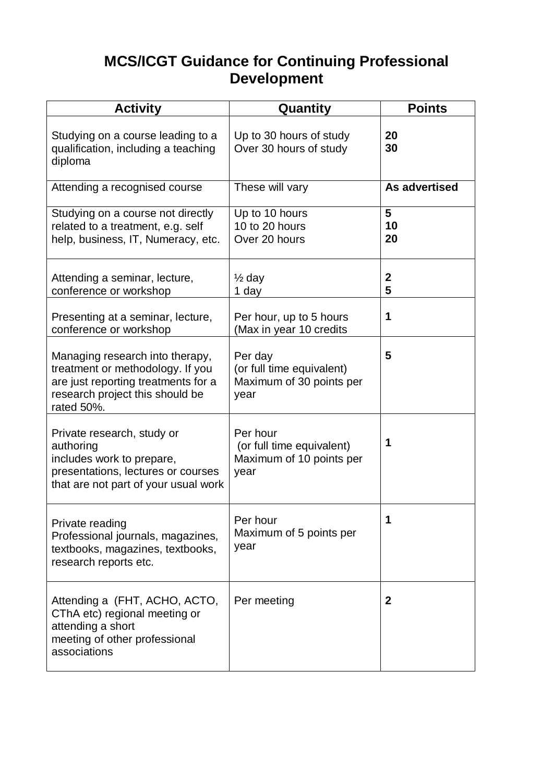## **MCS/ICGT Guidance for Continuing Professional Development**

| <b>Activity</b>                                                                                                                                             | Quantity                                                                  | <b>Points</b>         |
|-------------------------------------------------------------------------------------------------------------------------------------------------------------|---------------------------------------------------------------------------|-----------------------|
| Studying on a course leading to a<br>qualification, including a teaching<br>diploma                                                                         | Up to 30 hours of study<br>Over 30 hours of study                         | 20<br>30              |
| Attending a recognised course                                                                                                                               | These will vary                                                           | As advertised         |
| Studying on a course not directly<br>related to a treatment, e.g. self<br>help, business, IT, Numeracy, etc.                                                | Up to 10 hours<br>10 to 20 hours<br>Over 20 hours                         | 5<br>10<br>20         |
| Attending a seminar, lecture,<br>conference or workshop                                                                                                     | $\frac{1}{2}$ day<br>1 day                                                | $\boldsymbol{2}$<br>5 |
| Presenting at a seminar, lecture,<br>conference or workshop                                                                                                 | Per hour, up to 5 hours<br>(Max in year 10 credits                        | 1                     |
| Managing research into therapy,<br>treatment or methodology. If you<br>are just reporting treatments for a<br>research project this should be<br>rated 50%. | Per day<br>(or full time equivalent)<br>Maximum of 30 points per<br>year  | 5                     |
| Private research, study or<br>authoring<br>includes work to prepare,<br>presentations, lectures or courses<br>that are not part of your usual work          | Per hour<br>(or full time equivalent)<br>Maximum of 10 points per<br>year | 1                     |
| Private reading<br>Professional journals, magazines,<br>textbooks, magazines, textbooks,<br>research reports etc.                                           | Per hour<br>Maximum of 5 points per<br>year                               | 1                     |
| Attending a (FHT, ACHO, ACTO,<br>CThA etc) regional meeting or<br>attending a short<br>meeting of other professional<br>associations                        | Per meeting                                                               | $\mathbf{2}$          |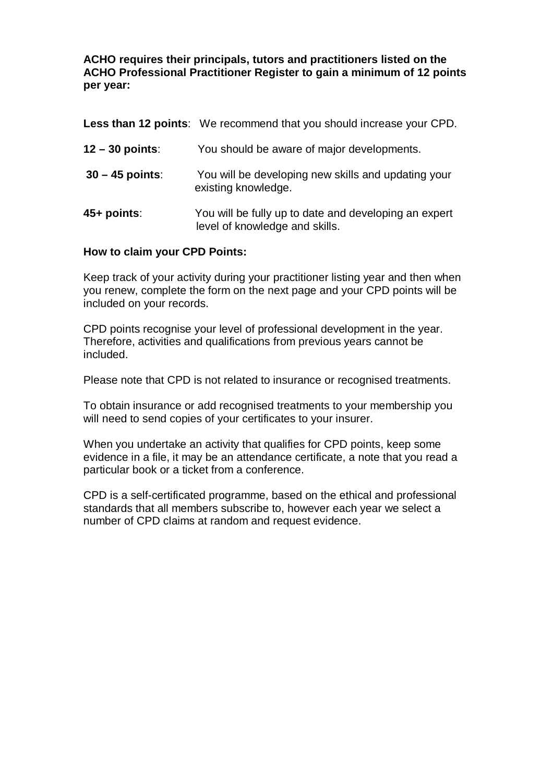**ACHO requires their principals, tutors and practitioners listed on the ACHO Professional Practitioner Register to gain a minimum of 12 points per year:** 

**Less than 12 points**: We recommend that you should increase your CPD.

- **12 30 points**: You should be aware of major developments.
- **30 45 points**: You will be developing new skills and updating your existing knowledge.
- **45+ points**: You will be fully up to date and developing an expert level of knowledge and skills.

## **How to claim your CPD Points:**

Keep track of your activity during your practitioner listing year and then when you renew, complete the form on the next page and your CPD points will be included on your records.

CPD points recognise your level of professional development in the year. Therefore, activities and qualifications from previous years cannot be included.

Please note that CPD is not related to insurance or recognised treatments.

To obtain insurance or add recognised treatments to your membership you will need to send copies of your certificates to your insurer.

When you undertake an activity that qualifies for CPD points, keep some evidence in a file, it may be an attendance certificate, a note that you read a particular book or a ticket from a conference.

CPD is a self-certificated programme, based on the ethical and professional standards that all members subscribe to, however each year we select a number of CPD claims at random and request evidence.